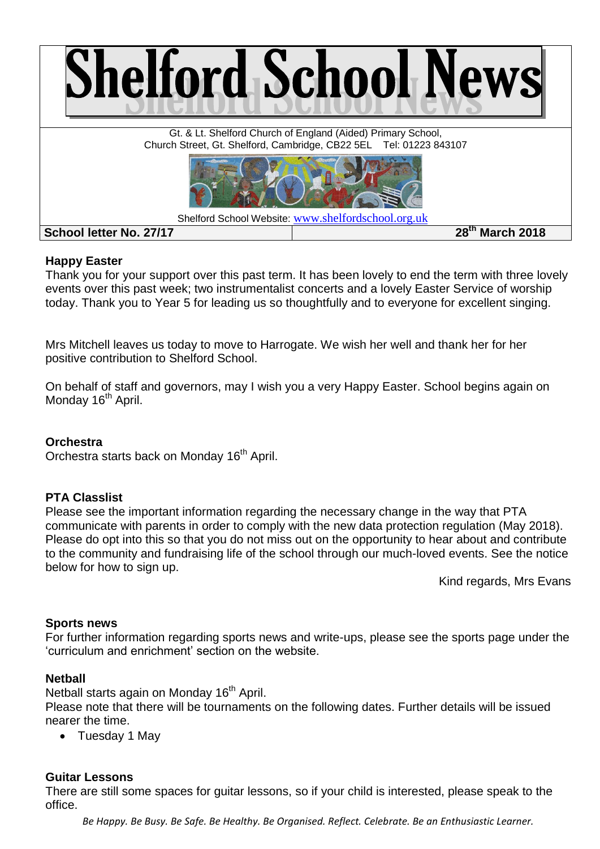

## **Happy Easter**

Thank you for your support over this past term. It has been lovely to end the term with three lovely events over this past week; two instrumentalist concerts and a lovely Easter Service of worship today. Thank you to Year 5 for leading us so thoughtfully and to everyone for excellent singing.

Mrs Mitchell leaves us today to move to Harrogate. We wish her well and thank her for her positive contribution to Shelford School.

On behalf of staff and governors, may I wish you a very Happy Easter. School begins again on Monday 16<sup>th</sup> April.

# **Orchestra**

Orchestra starts back on Monday 16<sup>th</sup> April.

### **PTA Classlist**

Please see the important information regarding the necessary change in the way that PTA communicate with parents in order to comply with the new data protection regulation (May 2018). Please do opt into this so that you do not miss out on the opportunity to hear about and contribute to the community and fundraising life of the school through our much-loved events. See the notice below for how to sign up.

Kind regards, Mrs Evans

### **Sports news**

For further information regarding sports news and write-ups, please see the sports page under the 'curriculum and enrichment' section on the website.

### **Netball**

Netball starts again on Monday 16<sup>th</sup> April.

Please note that there will be tournaments on the following dates. Further details will be issued nearer the time.

• Tuesday 1 May

### **Guitar Lessons**

There are still some spaces for guitar lessons, so if your child is interested, please speak to the office.

*Be Happy. Be Busy. Be Safe. Be Healthy. Be Organised. Reflect. Celebrate. Be an Enthusiastic Learner.*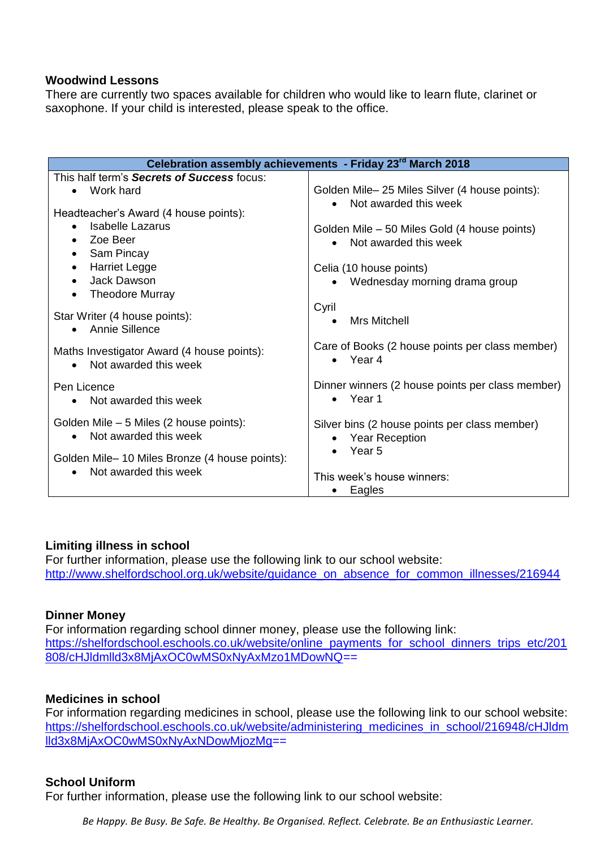#### **Woodwind Lessons**

There are currently two spaces available for children who would like to learn flute, clarinet or saxophone. If your child is interested, please speak to the office.

| Celebration assembly achievements - Friday 23 <sup>rd</sup> March 2018        |                                                                         |  |  |  |
|-------------------------------------------------------------------------------|-------------------------------------------------------------------------|--|--|--|
| This half term's Secrets of Success focus:                                    |                                                                         |  |  |  |
| Work hard                                                                     | Golden Mile-25 Miles Silver (4 house points):                           |  |  |  |
| Headteacher's Award (4 house points):                                         | Not awarded this week                                                   |  |  |  |
| Isabelle Lazarus                                                              | Golden Mile – 50 Miles Gold (4 house points)                            |  |  |  |
| Zoe Beer<br>$\bullet$                                                         | Not awarded this week<br>$\bullet$                                      |  |  |  |
| Sam Pincay<br>$\bullet$                                                       |                                                                         |  |  |  |
| <b>Harriet Legge</b><br>$\bullet$                                             | Celia (10 house points)                                                 |  |  |  |
| Jack Dawson<br>$\bullet$                                                      | Wednesday morning drama group                                           |  |  |  |
| <b>Theodore Murray</b><br>$\bullet$                                           |                                                                         |  |  |  |
| Star Writer (4 house points):<br>Annie Sillence                               | Cyril<br>Mrs Mitchell<br>$\bullet$                                      |  |  |  |
| Maths Investigator Award (4 house points):<br>Not awarded this week           | Care of Books (2 house points per class member)<br>$\bullet$ Year 4     |  |  |  |
| Pen Licence<br>• Not awarded this week                                        | Dinner winners (2 house points per class member)<br>Year 1<br>$\bullet$ |  |  |  |
| Golden Mile – 5 Miles (2 house points):<br>Not awarded this week<br>$\bullet$ | Silver bins (2 house points per class member)<br><b>Year Reception</b>  |  |  |  |
| Golden Mile-10 Miles Bronze (4 house points):<br>Not awarded this week        | Year 5<br>This week's house winners:                                    |  |  |  |
|                                                                               | Eagles                                                                  |  |  |  |

### **Limiting illness in school**

For further information, please use the following link to our school website: [http://www.shelfordschool.org.uk/website/guidance\\_on\\_absence\\_for\\_common\\_illnesses/216944](http://www.shelfordschool.org.uk/website/guidance_on_absence_for_common_illnesses/216944)

### **Dinner Money**

For information regarding school dinner money, please use the following link: [https://shelfordschool.eschools.co.uk/website/online\\_payments\\_for\\_school\\_dinners\\_trips\\_etc/201](https://shelfordschool.eschools.co.uk/website/online_payments_for_school_dinners_trips_etc/201808/cHJldmlld3x8MjAxOC0wMS0xNyAxMzo1MDowNQ) [808/cHJldmlld3x8MjAxOC0wMS0xNyAxMzo1MDowNQ=](https://shelfordschool.eschools.co.uk/website/online_payments_for_school_dinners_trips_etc/201808/cHJldmlld3x8MjAxOC0wMS0xNyAxMzo1MDowNQ)=

### **Medicines in school**

For information regarding medicines in school, please use the following link to our school website: [https://shelfordschool.eschools.co.uk/website/administering\\_medicines\\_in\\_school/216948/cHJldm](https://shelfordschool.eschools.co.uk/website/administering_medicines_in_school/216948/cHJldmlld3x8MjAxOC0wMS0xNyAxNDowMjozMg) [lld3x8MjAxOC0wMS0xNyAxNDowMjozMg=](https://shelfordschool.eschools.co.uk/website/administering_medicines_in_school/216948/cHJldmlld3x8MjAxOC0wMS0xNyAxNDowMjozMg)=

### **School Uniform**

For further information, please use the following link to our school website:

*Be Happy. Be Busy. Be Safe. Be Healthy. Be Organised. Reflect. Celebrate. Be an Enthusiastic Learner.*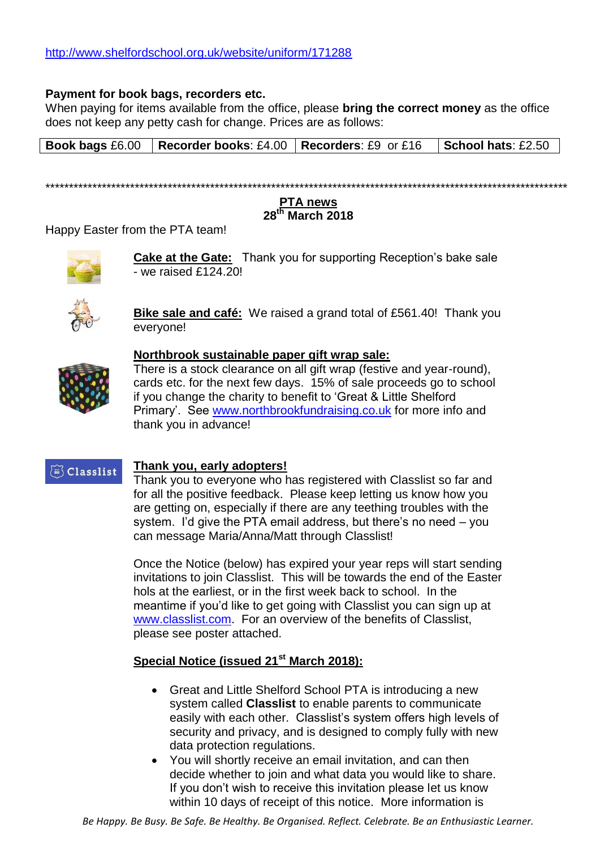#### **Payment for book bags, recorders etc.**

When paying for items available from the office, please **bring the correct money** as the office does not keep any petty cash for change. Prices are as follows:

**Book bags** £6.00 **Recorder books**: £4.00 **Recorders**: £9 or £16 **School hats**: £2.50

\*\*\*\*\*\*\*\*\*\*\*\*\*\*\*\*\*\*\*\*\*\*\*\*\*\*\*\*\*\*\*\*\*\*\*\*\*\*\*\*\*\*\*\*\*\*\*\*\*\*\*\*\*\*\*\*\*\*\*\*\*\*\*\*\*\*\*\*\*\*\*\*\*\*\*\*\*\*\*\*\*\*\*\*\*\*\*\*\*\*\*\*\*\*\*\*\*\*\*\*\*\*\*\*\*\*\*\*\*\*\*

#### **PTA news 28th March 2018**

Happy Easter from the PTA team!



**Cake at the Gate:** Thank you for supporting Reception's bake sale - we raised £124.20!



**Bike sale and café:** We raised a grand total of £561.40! Thank you everyone!



### **Northbrook sustainable paper gift wrap sale:**

There is a stock clearance on all gift wrap (festive and year-round), cards etc. for the next few days. 15% of sale proceeds go to school if you change the charity to benefit to 'Great & Little Shelford Primary'. See [www.northbrookfundraising.co.uk](http://www.northbrookfundraising.co.uk/) for more info and thank you in advance!

# (iii) Classlist

#### **Thank you, early adopters!**

Thank you to everyone who has registered with Classlist so far and for all the positive feedback. Please keep letting us know how you are getting on, especially if there are any teething troubles with the system. I'd give the PTA email address, but there's no need – you can message Maria/Anna/Matt through Classlist!

Once the Notice (below) has expired your year reps will start sending invitations to join Classlist. This will be towards the end of the Easter hols at the earliest, or in the first week back to school. In the meantime if you'd like to get going with Classlist you can sign up at [www.classlist.com.](file:///C:/Users/aevans/AppData/Local/Microsoft/Windows/Temporary%20Internet%20Files/Content.Outlook/KXHR9IVT/www.classlist.com) For an overview of the benefits of Classlist, please see poster attached.

# **Special Notice (issued 21st March 2018):**

- Great and Little Shelford School PTA is introducing a new system called **Classlist** to enable parents to communicate easily with each other. Classlist's system offers high levels of security and privacy, and is designed to comply fully with new data protection regulations.
- You will shortly receive an email invitation, and can then decide whether to join and what data you would like to share. If you don't wish to receive this invitation please let us know within 10 days of receipt of this notice. More information is

*Be Happy. Be Busy. Be Safe. Be Healthy. Be Organised. Reflect. Celebrate. Be an Enthusiastic Learner.*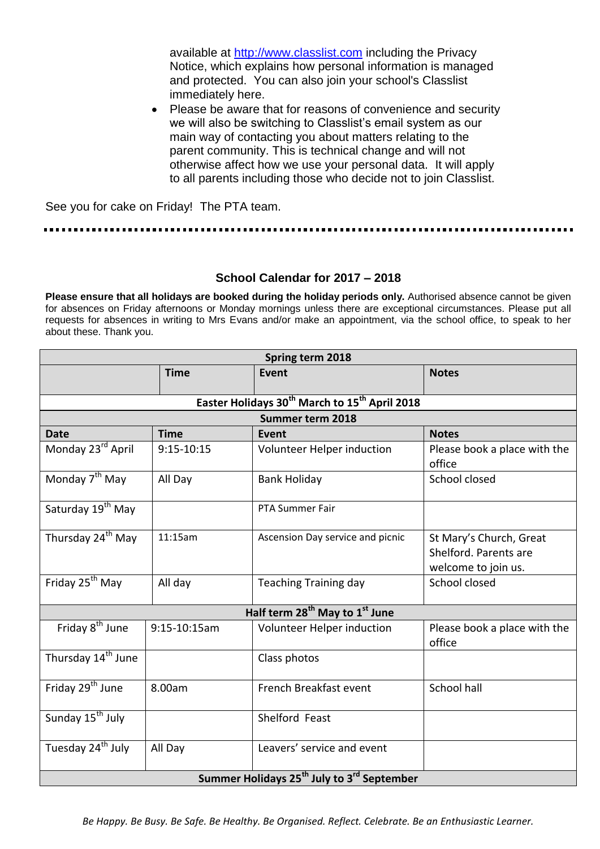available at [http://www.classlist.com](http://www.classlist.com/) including the Privacy Notice, which explains how personal information is managed and protected. You can also join your school's Classlist immediately here.

• Please be aware that for reasons of convenience and security we will also be switching to Classlist's email system as our main way of contacting you about matters relating to the parent community. This is technical change and will not otherwise affect how we use your personal data. It will apply to all parents including those who decide not to join Classlist.

See you for cake on Friday! The PTA team.

## **School Calendar for 2017 – 2018**

**Please ensure that all holidays are booked during the holiday periods only.** Authorised absence cannot be given for absences on Friday afternoons or Monday mornings unless there are exceptional circumstances. Please put all requests for absences in writing to Mrs Evans and/or make an appointment, via the school office, to speak to her about these. Thank you.

| Spring term 2018                                                      |                |                                  |                                                                         |  |
|-----------------------------------------------------------------------|----------------|----------------------------------|-------------------------------------------------------------------------|--|
|                                                                       | <b>Time</b>    | <b>Event</b>                     | <b>Notes</b>                                                            |  |
| Easter Holidays 30 <sup>th</sup> March to 15 <sup>th</sup> April 2018 |                |                                  |                                                                         |  |
| Summer term 2018                                                      |                |                                  |                                                                         |  |
| <b>Date</b>                                                           | <b>Time</b>    | Event                            | <b>Notes</b>                                                            |  |
| Monday 23rd April                                                     | $9:15 - 10:15$ | Volunteer Helper induction       | Please book a place with the<br>office                                  |  |
| Monday 7 <sup>th</sup> May                                            | All Day        | <b>Bank Holiday</b>              | School closed                                                           |  |
| Saturday 19 <sup>th</sup> May                                         |                | <b>PTA Summer Fair</b>           |                                                                         |  |
| Thursday 24 <sup>th</sup> May                                         | 11:15am        | Ascension Day service and picnic | St Mary's Church, Great<br>Shelford. Parents are<br>welcome to join us. |  |
| Friday 25 <sup>th</sup> May                                           | All day        | <b>Teaching Training day</b>     | School closed                                                           |  |
| Half term 28 <sup>th</sup> May to 1 <sup>st</sup> June                |                |                                  |                                                                         |  |
| Friday 8 <sup>th</sup> June                                           | 9:15-10:15am   | Volunteer Helper induction       | Please book a place with the<br>office                                  |  |
| Thursday 14 <sup>th</sup> June                                        |                | Class photos                     |                                                                         |  |
| Friday 29 <sup>th</sup> June                                          | 8.00am         | French Breakfast event           | School hall                                                             |  |
| Sunday 15 <sup>th</sup> July                                          |                | Shelford Feast                   |                                                                         |  |
| Tuesday 24 <sup>th</sup> July                                         | All Day        | Leavers' service and event       |                                                                         |  |
| Summer Holidays 25 <sup>th</sup> July to 3 <sup>rd</sup> September    |                |                                  |                                                                         |  |